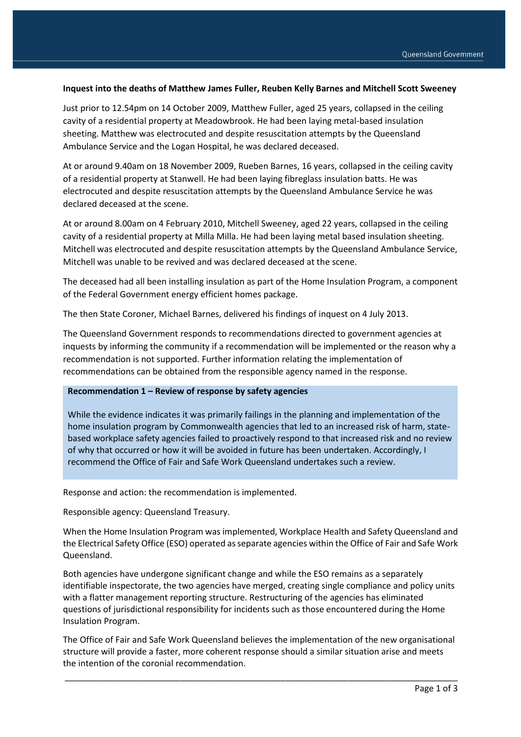### **Inquest into the deaths of Matthew James Fuller, Reuben Kelly Barnes and Mitchell Scott Sweeney**

Just prior to 12.54pm on 14 October 2009, Matthew Fuller, aged 25 years, collapsed in the ceiling cavity of a residential property at Meadowbrook. He had been laying metal-based insulation sheeting. Matthew was electrocuted and despite resuscitation attempts by the Queensland Ambulance Service and the Logan Hospital, he was declared deceased.

At or around 9.40am on 18 November 2009, Rueben Barnes, 16 years, collapsed in the ceiling cavity of a residential property at Stanwell. He had been laying fibreglass insulation batts. He was electrocuted and despite resuscitation attempts by the Queensland Ambulance Service he was declared deceased at the scene.

At or around 8.00am on 4 February 2010, Mitchell Sweeney, aged 22 years, collapsed in the ceiling cavity of a residential property at Milla Milla. He had been laying metal based insulation sheeting. Mitchell was electrocuted and despite resuscitation attempts by the Queensland Ambulance Service, Mitchell was unable to be revived and was declared deceased at the scene.

The deceased had all been installing insulation as part of the Home Insulation Program, a component of the Federal Government energy efficient homes package.

The then State Coroner, Michael Barnes, delivered his findings of inquest on 4 July 2013.

The Queensland Government responds to recommendations directed to government agencies at inquests by informing the community if a recommendation will be implemented or the reason why a recommendation is not supported. Further information relating the implementation of recommendations can be obtained from the responsible agency named in the response.

#### **Recommendation 1 – Review of response by safety agencies**

While the evidence indicates it was primarily failings in the planning and implementation of the home insulation program by Commonwealth agencies that led to an increased risk of harm, statebased workplace safety agencies failed to proactively respond to that increased risk and no review of why that occurred or how it will be avoided in future has been undertaken. Accordingly, I recommend the Office of Fair and Safe Work Queensland undertakes such a review.

Response and action: the recommendation is implemented.

Responsible agency: Queensland Treasury.

When the Home Insulation Program was implemented, Workplace Health and Safety Queensland and the Electrical Safety Office (ESO) operated as separate agencies within the Office of Fair and Safe Work Queensland.

Both agencies have undergone significant change and while the ESO remains as a separately identifiable inspectorate, the two agencies have merged, creating single compliance and policy units with a flatter management reporting structure. Restructuring of the agencies has eliminated questions of jurisdictional responsibility for incidents such as those encountered during the Home Insulation Program.

The Office of Fair and Safe Work Queensland believes the implementation of the new organisational structure will provide a faster, more coherent response should a similar situation arise and meets the intention of the coronial recommendation.

\_\_\_\_\_\_\_\_\_\_\_\_\_\_\_\_\_\_\_\_\_\_\_\_\_\_\_\_\_\_\_\_\_\_\_\_\_\_\_\_\_\_\_\_\_\_\_\_\_\_\_\_\_\_\_\_\_\_\_\_\_\_\_\_\_\_\_\_\_\_\_\_\_\_\_\_\_\_\_\_\_\_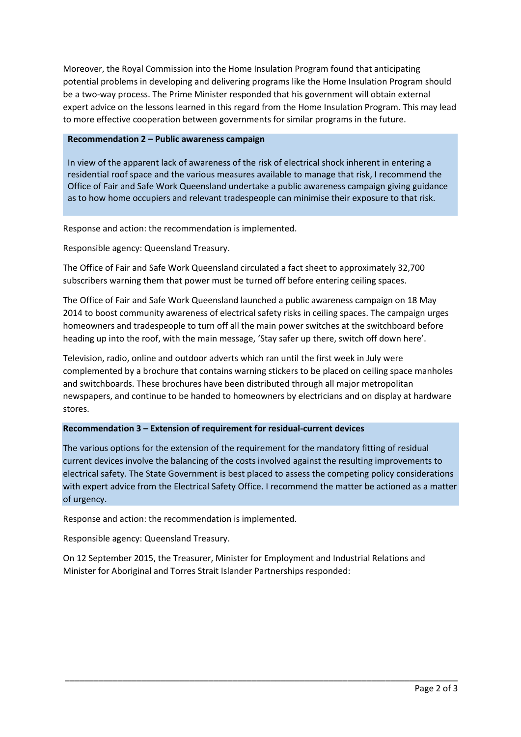Moreover, the Royal Commission into the Home Insulation Program found that anticipating potential problems in developing and delivering programs like the Home Insulation Program should be a two-way process. The Prime Minister responded that his government will obtain external expert advice on the lessons learned in this regard from the Home Insulation Program. This may lead to more effective cooperation between governments for similar programs in the future.

### **Recommendation 2 – Public awareness campaign**

In view of the apparent lack of awareness of the risk of electrical shock inherent in entering a residential roof space and the various measures available to manage that risk, I recommend the Office of Fair and Safe Work Queensland undertake a public awareness campaign giving guidance as to how home occupiers and relevant tradespeople can minimise their exposure to that risk.

Response and action: the recommendation is implemented.

Responsible agency: Queensland Treasury.

The Office of Fair and Safe Work Queensland circulated a fact sheet to approximately 32,700 subscribers warning them that power must be turned off before entering ceiling spaces.

The Office of Fair and Safe Work Queensland launched a public awareness campaign on 18 May 2014 to boost community awareness of electrical safety risks in ceiling spaces. The campaign urges homeowners and tradespeople to turn off all the main power switches at the switchboard before heading up into the roof, with the main message, 'Stay safer up there, switch off down here'.

Television, radio, online and outdoor adverts which ran until the first week in July were complemented by a brochure that contains warning stickers to be placed on ceiling space manholes and switchboards. These brochures have been distributed through all major metropolitan newspapers, and continue to be handed to homeowners by electricians and on display at hardware stores.

# **Recommendation 3 – Extension of requirement for residual-current devices**

The various options for the extension of the requirement for the mandatory fitting of residual current devices involve the balancing of the costs involved against the resulting improvements to electrical safety. The State Government is best placed to assess the competing policy considerations with expert advice from the Electrical Safety Office. I recommend the matter be actioned as a matter of urgency.

Response and action: the recommendation is implemented.

Responsible agency: Queensland Treasury.

On 12 September 2015, the Treasurer, Minister for Employment and Industrial Relations and Minister for Aboriginal and Torres Strait Islander Partnerships responded:

\_\_\_\_\_\_\_\_\_\_\_\_\_\_\_\_\_\_\_\_\_\_\_\_\_\_\_\_\_\_\_\_\_\_\_\_\_\_\_\_\_\_\_\_\_\_\_\_\_\_\_\_\_\_\_\_\_\_\_\_\_\_\_\_\_\_\_\_\_\_\_\_\_\_\_\_\_\_\_\_\_\_